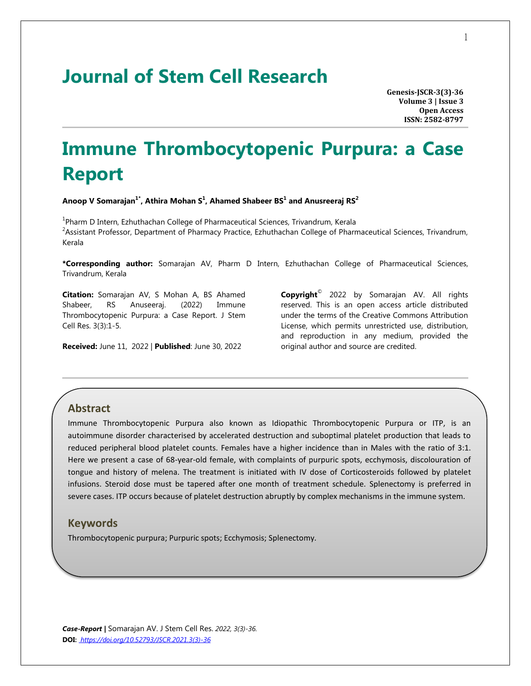# **Journal of Stem Cell Research**

**Genesis-JSCR-3(3)-36 Volume 3 | Issue 3 Open Access ISSN: 2582-8797**

# **Immune Thrombocytopenic Purpura: a Case Report**

**Anoop V Somarajan1\*, Athira Mohan S<sup>1</sup> , Ahamed Shabeer BS 1 and Anusreeraj RS 2**

<sup>1</sup>Pharm D Intern, Ezhuthachan College of Pharmaceutical Sciences, Trivandrum, Kerala  $^2$ Assistant Professor, Department of Pharmacy Practice, Ezhuthachan College of Pharmaceutical Sciences, Trivandrum, Kerala

**\*Corresponding author:** Somarajan AV, Pharm D Intern, Ezhuthachan College of Pharmaceutical Sciences, Trivandrum, Kerala

**Citation:** Somarajan AV, S Mohan A, BS Ahamed Shabeer, RS Anuseeraj. (2022) Immune Thrombocytopenic Purpura: a Case Report. J Stem Cell Res. 3(3):1-5.

**Received:** June 11, 2022 | **Published**: June 30, 2022

**Copyright**© 2022 by Somarajan AV. All rights reserved. This is an open access article distributed under the terms of the Creative Commons Attribution License, which permits unrestricted use, distribution, and reproduction in any medium, provided the original author and source are credited.

## **Abstract**

Immune Thrombocytopenic Purpura also known as Idiopathic Thrombocytopenic Purpura or ITP, is an autoimmune disorder characterised by accelerated destruction and suboptimal platelet production that leads to reduced peripheral blood platelet counts. Females have a higher incidence than in Males with the ratio of 3:1. Here we present a case of 68-year-old female, with complaints of purpuric spots, ecchymosis, discolouration of tongue and history of melena. The treatment is initiated with IV dose of Corticosteroids followed by platelet infusions. Steroid dose must be tapered after one month of treatment schedule. Splenectomy is preferred in severe cases. ITP occurs because of platelet destruction abruptly by complex mechanisms in the immune system.

#### **Keywords**

Thrombocytopenic purpura; Purpuric spots; Ecchymosis; Splenectomy.

*Case-Report |* Somarajan AV. J Stem Cell Res. *2022, 3(3)-36.* **DOI:** *[https://doi.org/10.52793/JSCR.2021.3\(3\)-36](https://doi.org/10.52793/JSCR.2021.3(3)-36)*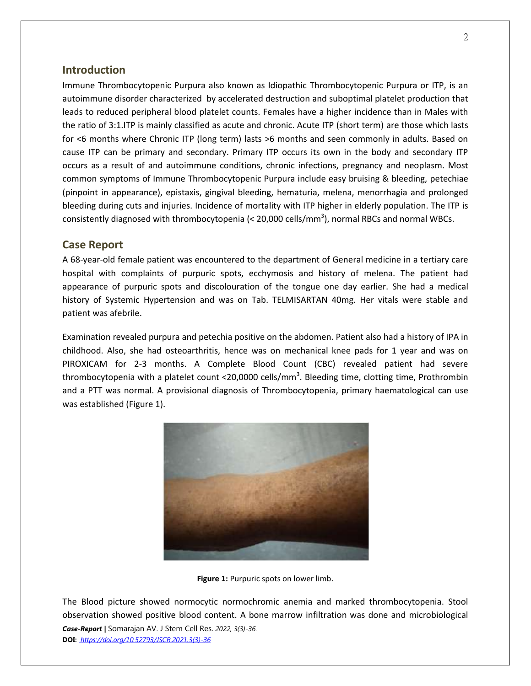# **Introduction**

Immune Thrombocytopenic Purpura also known as Idiopathic Thrombocytopenic Purpura or ITP, is an autoimmune disorder characterized by accelerated destruction and suboptimal platelet production that leads to reduced peripheral blood platelet counts. Females have a higher incidence than in Males with the ratio of 3:1.ITP is mainly classified as acute and chronic. Acute ITP (short term) are those which lasts for <6 months where Chronic ITP (long term) lasts >6 months and seen commonly in adults. Based on cause ITP can be primary and secondary. Primary ITP occurs its own in the body and secondary ITP occurs as a result of and autoimmune conditions, chronic infections, pregnancy and neoplasm. Most common symptoms of Immune Thrombocytopenic Purpura include easy bruising & bleeding, petechiae (pinpoint in appearance), epistaxis, gingival bleeding, hematuria, melena, menorrhagia and prolonged bleeding during cuts and injuries. Incidence of mortality with ITP higher in elderly population. The ITP is consistently diagnosed with thrombocytopenia (< 20,000 cells/mm<sup>3</sup>), normal RBCs and normal WBCs.

#### **Case Report**

A 68-year-old female patient was encountered to the department of General medicine in a tertiary care hospital with complaints of purpuric spots, ecchymosis and history of melena. The patient had appearance of purpuric spots and discolouration of the tongue one day earlier. She had a medical history of Systemic Hypertension and was on Tab. TELMISARTAN 40mg. Her vitals were stable and patient was afebrile.

Examination revealed purpura and petechia positive on the abdomen. Patient also had a history of IPA in childhood. Also, she had osteoarthritis, hence was on mechanical knee pads for 1 year and was on PIROXICAM for 2-3 months. A Complete Blood Count (CBC) revealed patient had severe thrombocytopenia with a platelet count <20,0000 cells/mm<sup>3</sup>. Bleeding time, clotting time, Prothrombin and a PTT was normal. A provisional diagnosis of Thrombocytopenia, primary haematological can use was established (Figure 1).



**Figure 1:** Purpuric spots on lower limb.

*Case-Report |* Somarajan AV. J Stem Cell Res. *2022, 3(3)-36.* **DOI:** *[https://doi.org/10.52793/JSCR.2021.3\(3\)-36](https://doi.org/10.52793/JSCR.2021.3(3)-36)* The Blood picture showed normocytic normochromic anemia and marked thrombocytopenia. Stool observation showed positive blood content. A bone marrow infiltration was done and microbiological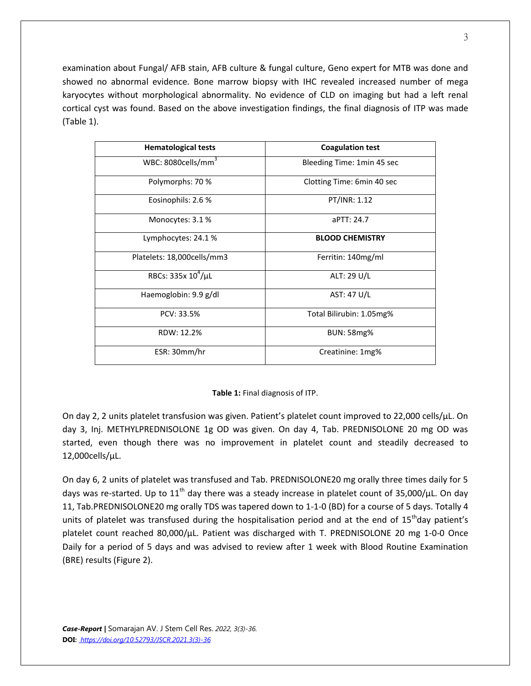examination about Fungal/ AFB stain, AFB culture & fungal culture, Geno expert for MTB was done and showed no abnormal evidence. Bone marrow biopsy with IHC revealed increased number of mega karyocytes without morphological abnormality. No evidence of CLD on imaging but had a left renal cortical cyst was found. Based on the above investigation findings, the final diagnosis of ITP was made (Table 1).

| <b>Hematological tests</b>     | <b>Coagulation test</b>     |
|--------------------------------|-----------------------------|
| WBC: 8080cells/mm <sup>3</sup> | Bleeding Time: 1 min 45 sec |
| Polymorphs: 70 %               | Clotting Time: 6min 40 sec  |
| Eosinophils: 2.6 %             | PT/INR: 1.12                |
| Monocytes: 3.1 %               | APTT: 24.7                  |
| Lymphocytes: 24.1 %            | <b>BLOOD CHEMISTRY</b>      |
| Platelets: 18,000cells/mm3     | Ferritin: 140mg/ml          |
| RBCs: $335x 10^4/\mu L$        | ALT: 29 U/L                 |
| Haemoglobin: 9.9 g/dl          | AST: 47 U/L                 |
| PCV: 33.5%                     | Total Bilirubin: 1.05mg%    |
| RDW: 12.2%                     | <b>BUN: 58mg%</b>           |
| ESR: 30mm/hr                   | Creatinine: 1mg%            |

#### **Table 1:** Final diagnosis of ITP.

On day 2, 2 units platelet transfusion was given. Patient's platelet count improved to 22,000 cells/µL. On day 3, Inj. METHYLPREDNISOLONE 1g OD was given. On day 4, Tab. PREDNISOLONE 20 mg OD was started, even though there was no improvement in platelet count and steadily decreased to 12,000cells/µL.

On day 6, 2 units of platelet was transfused and Tab. PREDNISOLONE20 mg orally three times daily for 5 days was re-started. Up to 11<sup>th</sup> day there was a steady increase in platelet count of 35,000/ $\mu$ L. On day 11, Tab.PREDNISOLONE20 mg orally TDS was tapered down to 1-1-0 (BD) for a course of 5 days. Totally 4 units of platelet was transfused during the hospitalisation period and at the end of  $15<sup>th</sup>$ day patient's platelet count reached 80,000/µL. Patient was discharged with T. PREDNISOLONE 20 mg 1-0-0 Once Daily for a period of 5 days and was advised to review after 1 week with Blood Routine Examination (BRE) results (Figure 2).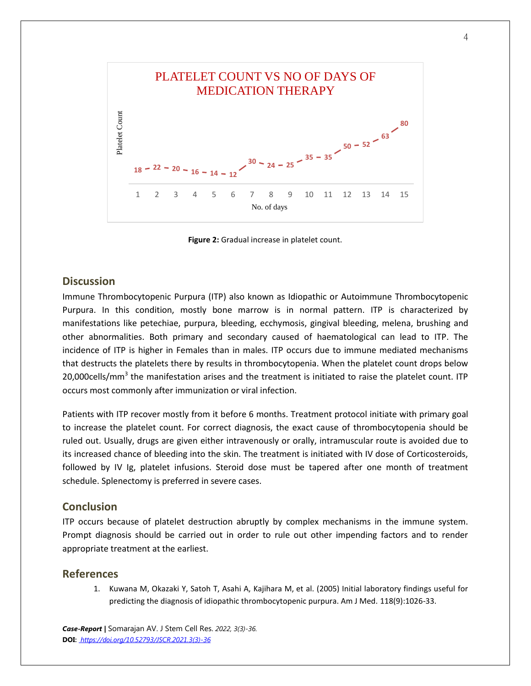

**Figure 2:** Gradual increase in platelet count.

#### **Discussion**

Immune Thrombocytopenic Purpura (ITP) also known as Idiopathic or Autoimmune Thrombocytopenic Purpura. In this condition, mostly bone marrow is in normal pattern. ITP is characterized by manifestations like petechiae, purpura, bleeding, ecchymosis, gingival bleeding, melena, brushing and other abnormalities. Both primary and secondary caused of haematological can lead to ITP. The incidence of ITP is higher in Females than in males. ITP occurs due to immune mediated mechanisms that destructs the platelets there by results in thrombocytopenia. When the platelet count drops below 20,000cells/mm<sup>3</sup> the manifestation arises and the treatment is initiated to raise the platelet count. ITP occurs most commonly after immunization or viral infection.

Patients with ITP recover mostly from it before 6 months. Treatment protocol initiate with primary goal to increase the platelet count. For correct diagnosis, the exact cause of thrombocytopenia should be ruled out. Usually, drugs are given either intravenously or orally, intramuscular route is avoided due to its increased chance of bleeding into the skin. The treatment is initiated with IV dose of Corticosteroids, followed by IV Ig, platelet infusions. Steroid dose must be tapered after one month of treatment schedule. Splenectomy is preferred in severe cases.

# **Conclusion**

ITP occurs because of platelet destruction abruptly by complex mechanisms in the immune system. Prompt diagnosis should be carried out in order to rule out other impending factors and to render appropriate treatment at the earliest.

#### **References**

1. Kuwana M, Okazaki Y, Satoh T, Asahi A, Kajihara M, et al. (2005) Initial laboratory findings useful for predicting the diagnosis of idiopathic thrombocytopenic purpura. Am J Med. 118(9):1026-33.

*Case-Report |* Somarajan AV. J Stem Cell Res. *2022, 3(3)-36.* **DOI:** *[https://doi.org/10.52793/JSCR.2021.3\(3\)-36](https://doi.org/10.52793/JSCR.2021.3(3)-36)*